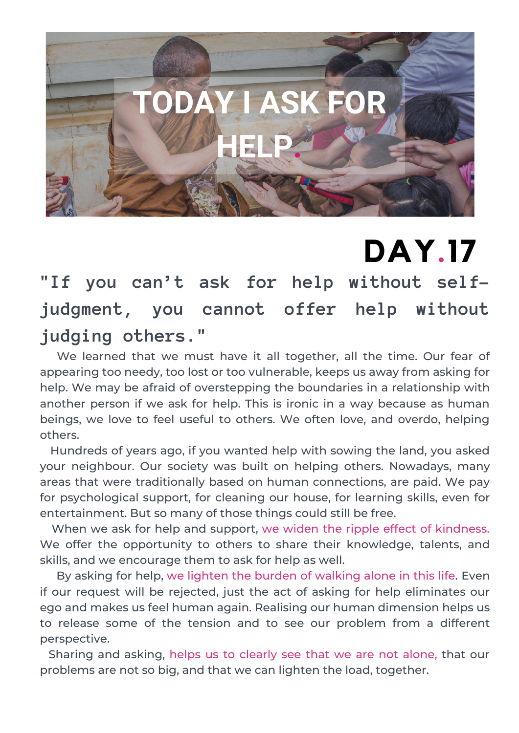

## **DAY.17**

**"If you can't ask for help without selfjudgment, you cannot offer help without judging others."**

We learned that we must have it all together, all the time. Our fear of appearing too needy, too lost or too vulnerable, keeps us away from asking for help. We may be afraid of overstepping the boundaries in a relationship with another person if we ask for help. This is ironic in a way because as human beings, we love to feel useful to others. We often love, and overdo, helping others.

Hundreds of years ago, if you wanted help with sowing the land, you asked your neighbour. Our society was built on helping others. Nowadays, many areas that were traditionally based on human connections, are paid. We pay for psychological support, for cleaning our house, for learning skills, even for entertainment. But so many of those things could still be free.

When we ask for help and support, we widen the ripple effect of kindness. We offer the opportunity to others to share their knowledge, talents, and skills, and we encourage them to ask for help as well.

By asking for help, we lighten the burden of walking alone in this life. Even if our request will be rejected, just the act of asking for help eliminates our ego and makes us feel human again. Realising our human dimension helps us to release some of the tension and to see our problem from a different perspective.

Sharing and asking, helps us to clearly see that we are not alone, that our problems are not so big, and that we can lighten the load, together.